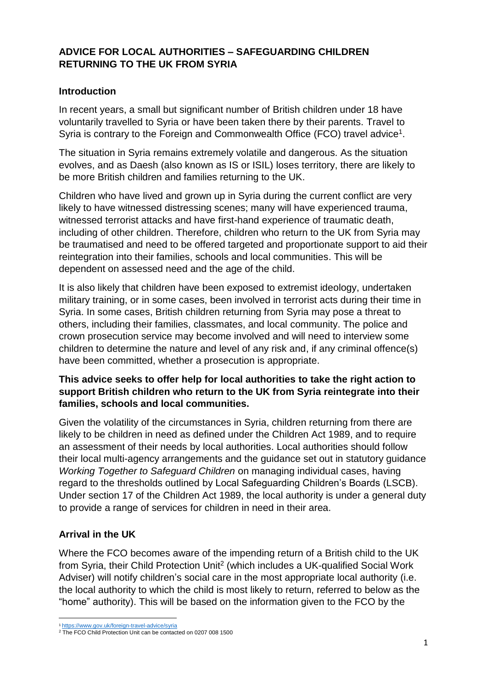## **ADVICE FOR LOCAL AUTHORITIES – SAFEGUARDING CHILDREN RETURNING TO THE UK FROM SYRIA**

#### **Introduction**

In recent years, a small but significant number of British children under 18 have voluntarily travelled to Syria or have been taken there by their parents. Travel to Syria is contrary to the Foreign and Commonwealth Office (FCO) travel advice<sup>1</sup>.

The situation in Syria remains extremely volatile and dangerous. As the situation evolves, and as Daesh (also known as IS or ISIL) loses territory, there are likely to be more British children and families returning to the UK.

Children who have lived and grown up in Syria during the current conflict are very likely to have witnessed distressing scenes; many will have experienced trauma, witnessed terrorist attacks and have first-hand experience of traumatic death, including of other children. Therefore, children who return to the UK from Syria may be traumatised and need to be offered targeted and proportionate support to aid their reintegration into their families, schools and local communities. This will be dependent on assessed need and the age of the child.

It is also likely that children have been exposed to extremist ideology, undertaken military training, or in some cases, been involved in terrorist acts during their time in Syria. In some cases, British children returning from Syria may pose a threat to others, including their families, classmates, and local community. The police and crown prosecution service may become involved and will need to interview some children to determine the nature and level of any risk and, if any criminal offence(s) have been committed, whether a prosecution is appropriate.

## **This advice seeks to offer help for local authorities to take the right action to support British children who return to the UK from Syria reintegrate into their families, schools and local communities.**

Given the volatility of the circumstances in Syria, children returning from there are likely to be children in need as defined under the Children Act 1989, and to require an assessment of their needs by local authorities. Local authorities should follow their local multi-agency arrangements and the guidance set out in statutory guidance *Working Together to Safeguard Children* on managing individual cases, having regard to the thresholds outlined by Local Safeguarding Children's Boards (LSCB). Under section 17 of the Children Act 1989, the local authority is under a general duty to provide a range of services for children in need in their area.

## **Arrival in the UK**

1

Where the FCO becomes aware of the impending return of a British child to the UK from Syria, their Child Protection Unit<sup>2</sup> (which includes a UK-qualified Social Work Adviser) will notify children's social care in the most appropriate local authority (i.e. the local authority to which the child is most likely to return, referred to below as the "home" authority). This will be based on the information given to the FCO by the

<sup>1</sup> <https://www.gov.uk/foreign-travel-advice/syria>

<sup>&</sup>lt;sup>2</sup> The FCO Child Protection Unit can be contacted on 0207 008 1500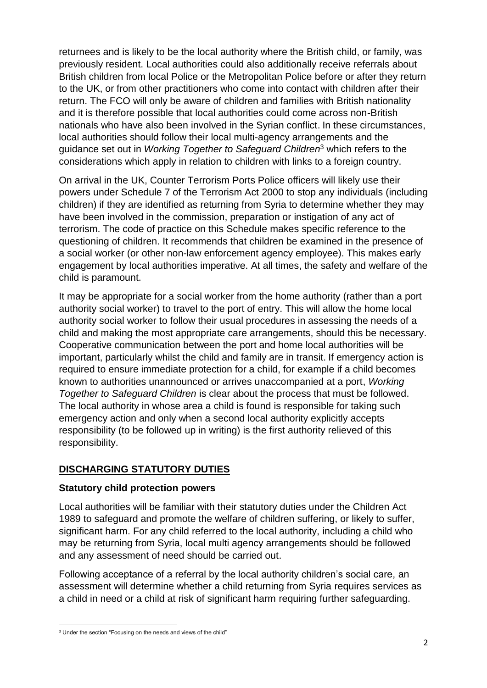returnees and is likely to be the local authority where the British child, or family, was previously resident. Local authorities could also additionally receive referrals about British children from local Police or the Metropolitan Police before or after they return to the UK, or from other practitioners who come into contact with children after their return. The FCO will only be aware of children and families with British nationality and it is therefore possible that local authorities could come across non-British nationals who have also been involved in the Syrian conflict. In these circumstances, local authorities should follow their local multi-agency arrangements and the guidance set out in *Working Together to Safeguard Children*<sup>3</sup> which refers to the considerations which apply in relation to children with links to a foreign country.

On arrival in the UK, Counter Terrorism Ports Police officers will likely use their powers under Schedule 7 of the Terrorism Act 2000 to stop any individuals (including children) if they are identified as returning from Syria to determine whether they may have been involved in the commission, preparation or instigation of any act of terrorism. The code of practice on this Schedule makes specific reference to the questioning of children. It recommends that children be examined in the presence of a social worker (or other non-law enforcement agency employee). This makes early engagement by local authorities imperative. At all times, the safety and welfare of the child is paramount.

It may be appropriate for a social worker from the home authority (rather than a port authority social worker) to travel to the port of entry. This will allow the home local authority social worker to follow their usual procedures in assessing the needs of a child and making the most appropriate care arrangements, should this be necessary. Cooperative communication between the port and home local authorities will be important, particularly whilst the child and family are in transit. If emergency action is required to ensure immediate protection for a child, for example if a child becomes known to authorities unannounced or arrives unaccompanied at a port, *Working Together to Safeguard Children* is clear about the process that must be followed. The local authority in whose area a child is found is responsible for taking such emergency action and only when a second local authority explicitly accepts responsibility (to be followed up in writing) is the first authority relieved of this responsibility.

## **DISCHARGING STATUTORY DUTIES**

## **Statutory child protection powers**

Local authorities will be familiar with their statutory duties under the Children Act 1989 to safeguard and promote the welfare of children suffering, or likely to suffer, significant harm. For any child referred to the local authority, including a child who may be returning from Syria, local multi agency arrangements should be followed and any assessment of need should be carried out.

Following acceptance of a referral by the local authority children's social care, an assessment will determine whether a child returning from Syria requires services as a child in need or a child at risk of significant harm requiring further safeguarding.

**<sup>.</sup>** <sup>3</sup> Under the section "Focusing on the needs and views of the child"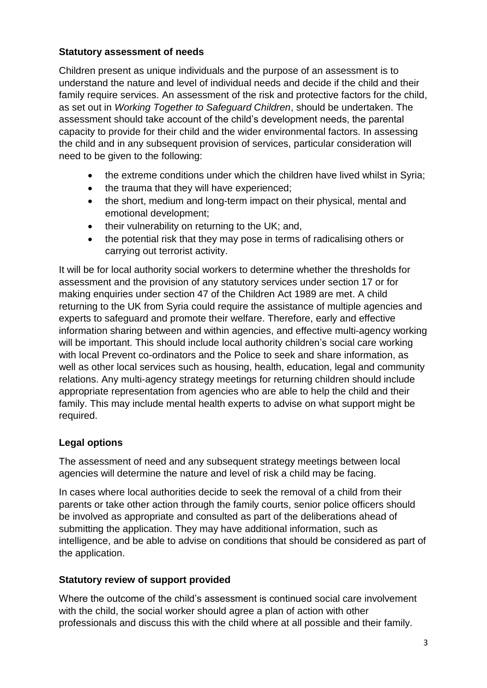## **Statutory assessment of needs**

Children present as unique individuals and the purpose of an assessment is to understand the nature and level of individual needs and decide if the child and their family require services. An assessment of the risk and protective factors for the child, as set out in *Working Together to Safeguard Children*, should be undertaken. The assessment should take account of the child's development needs, the parental capacity to provide for their child and the wider environmental factors. In assessing the child and in any subsequent provision of services, particular consideration will need to be given to the following:

- the extreme conditions under which the children have lived whilst in Syria;
- the trauma that they will have experienced;
- the short, medium and long-term impact on their physical, mental and emotional development;
- $\bullet$  their vulnerability on returning to the UK; and,
- the potential risk that they may pose in terms of radicalising others or carrying out terrorist activity.

It will be for local authority social workers to determine whether the thresholds for assessment and the provision of any statutory services under section 17 or for making enquiries under section 47 of the Children Act 1989 are met. A child returning to the UK from Syria could require the assistance of multiple agencies and experts to safeguard and promote their welfare. Therefore, early and effective information sharing between and within agencies, and effective multi-agency working will be important. This should include local authority children's social care working with local Prevent co-ordinators and the Police to seek and share information, as well as other local services such as housing, health, education, legal and community relations. Any multi-agency strategy meetings for returning children should include appropriate representation from agencies who are able to help the child and their family. This may include mental health experts to advise on what support might be required.

# **Legal options**

The assessment of need and any subsequent strategy meetings between local agencies will determine the nature and level of risk a child may be facing.

In cases where local authorities decide to seek the removal of a child from their parents or take other action through the family courts, senior police officers should be involved as appropriate and consulted as part of the deliberations ahead of submitting the application. They may have additional information, such as intelligence, and be able to advise on conditions that should be considered as part of the application.

## **Statutory review of support provided**

Where the outcome of the child's assessment is continued social care involvement with the child, the social worker should agree a plan of action with other professionals and discuss this with the child where at all possible and their family.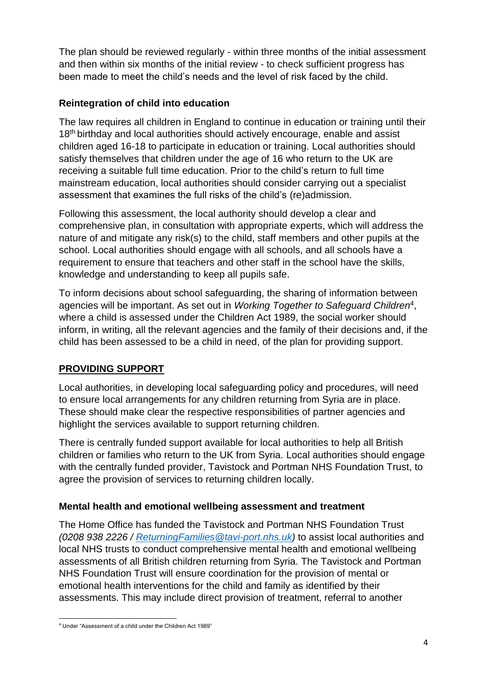The plan should be reviewed regularly - within three months of the initial assessment and then within six months of the initial review - to check sufficient progress has been made to meet the child's needs and the level of risk faced by the child.

# **Reintegration of child into education**

The law requires all children in England to continue in education or training until their 18<sup>th</sup> birthday and local authorities should actively encourage, enable and assist children aged 16-18 to participate in education or training. Local authorities should satisfy themselves that children under the age of 16 who return to the UK are receiving a suitable full time education. Prior to the child's return to full time mainstream education, local authorities should consider carrying out a specialist assessment that examines the full risks of the child's (re)admission.

Following this assessment, the local authority should develop a clear and comprehensive plan, in consultation with appropriate experts, which will address the nature of and mitigate any risk(s) to the child, staff members and other pupils at the school. Local authorities should engage with all schools, and all schools have a requirement to ensure that teachers and other staff in the school have the skills, knowledge and understanding to keep all pupils safe.

To inform decisions about school safeguarding, the sharing of information between agencies will be important. As set out in *Working Together to Safeguard Children*<sup>4</sup> , where a child is assessed under the Children Act 1989, the social worker should inform, in writing, all the relevant agencies and the family of their decisions and, if the child has been assessed to be a child in need, of the plan for providing support.

# **PROVIDING SUPPORT**

Local authorities, in developing local safeguarding policy and procedures, will need to ensure local arrangements for any children returning from Syria are in place. These should make clear the respective responsibilities of partner agencies and highlight the services available to support returning children.

There is centrally funded support available for local authorities to help all British children or families who return to the UK from Syria. Local authorities should engage with the centrally funded provider, Tavistock and Portman NHS Foundation Trust, to agree the provision of services to returning children locally.

## **Mental health and emotional wellbeing assessment and treatment**

The Home Office has funded the Tavistock and Portman NHS Foundation Trust *(0208 938 2226 / [ReturningFamilies@tavi-port.nhs.uk\)](mailto:ReturningFamilies@tavi-port.nhs.uk)* to assist local authorities and local NHS trusts to conduct comprehensive mental health and emotional wellbeing assessments of all British children returning from Syria. The Tavistock and Portman NHS Foundation Trust will ensure coordination for the provision of mental or emotional health interventions for the child and family as identified by their assessments. This may include direct provision of treatment, referral to another

 $\overline{a}$ <sup>4</sup> Under "Assessment of a child under the Children Act 1989"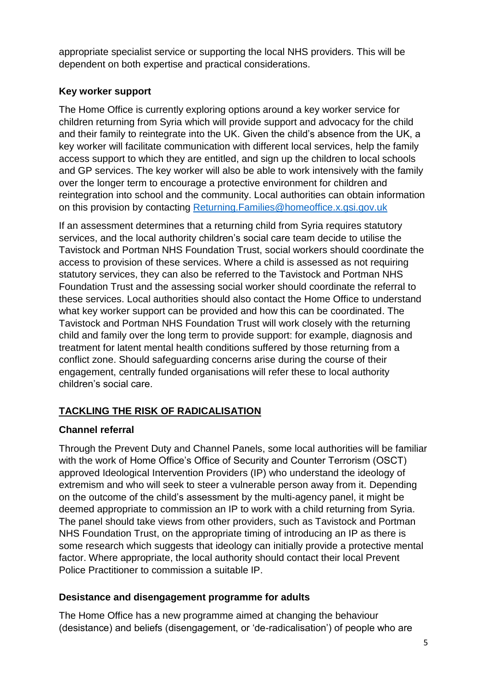appropriate specialist service or supporting the local NHS providers. This will be dependent on both expertise and practical considerations.

## **Key worker support**

The Home Office is currently exploring options around a key worker service for children returning from Syria which will provide support and advocacy for the child and their family to reintegrate into the UK. Given the child's absence from the UK, a key worker will facilitate communication with different local services, help the family access support to which they are entitled, and sign up the children to local schools and GP services. The key worker will also be able to work intensively with the family over the longer term to encourage a protective environment for children and reintegration into school and the community. Local authorities can obtain information on this provision by contacting [Returning.Families@homeoffice.x.gsi.gov.uk](mailto:Returning.Families@homeoffice.x.gsi.gov.uk)

If an assessment determines that a returning child from Syria requires statutory services, and the local authority children's social care team decide to utilise the Tavistock and Portman NHS Foundation Trust, social workers should coordinate the access to provision of these services. Where a child is assessed as not requiring statutory services, they can also be referred to the Tavistock and Portman NHS Foundation Trust and the assessing social worker should coordinate the referral to these services. Local authorities should also contact the Home Office to understand what key worker support can be provided and how this can be coordinated. The Tavistock and Portman NHS Foundation Trust will work closely with the returning child and family over the long term to provide support: for example, diagnosis and treatment for latent mental health conditions suffered by those returning from a conflict zone. Should safeguarding concerns arise during the course of their engagement, centrally funded organisations will refer these to local authority children's social care.

# **TACKLING THE RISK OF RADICALISATION**

# **Channel referral**

Through the Prevent Duty and Channel Panels, some local authorities will be familiar with the work of Home Office's Office of Security and Counter Terrorism (OSCT) approved Ideological Intervention Providers (IP) who understand the ideology of extremism and who will seek to steer a vulnerable person away from it. Depending on the outcome of the child's assessment by the multi-agency panel, it might be deemed appropriate to commission an IP to work with a child returning from Syria. The panel should take views from other providers, such as Tavistock and Portman NHS Foundation Trust, on the appropriate timing of introducing an IP as there is some research which suggests that ideology can initially provide a protective mental factor. Where appropriate, the local authority should contact their local Prevent Police Practitioner to commission a suitable IP.

# **Desistance and disengagement programme for adults**

The Home Office has a new programme aimed at changing the behaviour (desistance) and beliefs (disengagement, or 'de-radicalisation') of people who are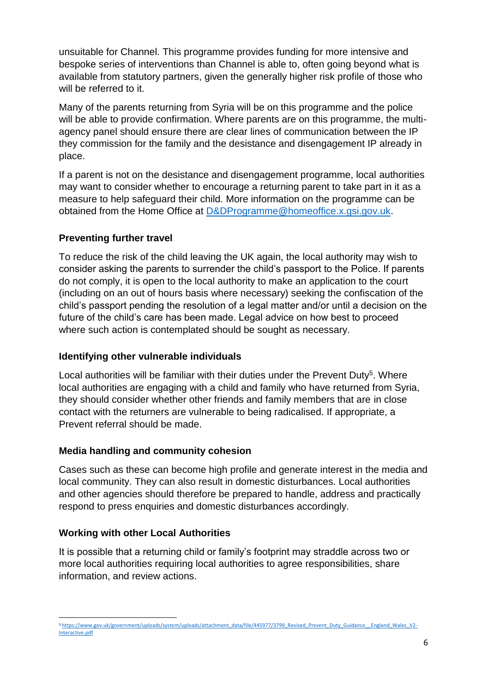unsuitable for Channel. This programme provides funding for more intensive and bespoke series of interventions than Channel is able to, often going beyond what is available from statutory partners, given the generally higher risk profile of those who will be referred to it.

Many of the parents returning from Syria will be on this programme and the police will be able to provide confirmation. Where parents are on this programme, the multiagency panel should ensure there are clear lines of communication between the IP they commission for the family and the desistance and disengagement IP already in place.

If a parent is not on the desistance and disengagement programme, local authorities may want to consider whether to encourage a returning parent to take part in it as a measure to help safeguard their child. More information on the programme can be obtained from the Home Office at [D&DProgramme@homeoffice.x.gsi.gov.uk.](mailto:D&DProgramme@homeoffice.x.gsi.gov.uk)

## **Preventing further travel**

To reduce the risk of the child leaving the UK again, the local authority may wish to consider asking the parents to surrender the child's passport to the Police. If parents do not comply, it is open to the local authority to make an application to the court (including on an out of hours basis where necessary) seeking the confiscation of the child's passport pending the resolution of a legal matter and/or until a decision on the future of the child's care has been made. Legal advice on how best to proceed where such action is contemplated should be sought as necessary.

## **Identifying other vulnerable individuals**

Local authorities will be familiar with their duties under the Prevent Duty<sup>5</sup>. Where local authorities are engaging with a child and family who have returned from Syria, they should consider whether other friends and family members that are in close contact with the returners are vulnerable to being radicalised. If appropriate, a Prevent referral should be made.

## **Media handling and community cohesion**

Cases such as these can become high profile and generate interest in the media and local community. They can also result in domestic disturbances. Local authorities and other agencies should therefore be prepared to handle, address and practically respond to press enquiries and domestic disturbances accordingly.

## **Working with other Local Authorities**

It is possible that a returning child or family's footprint may straddle across two or more local authorities requiring local authorities to agree responsibilities, share information, and review actions.

**<sup>.</sup>** 5 [https://www.gov.uk/government/uploads/system/uploads/attachment\\_data/file/445977/3799\\_Revised\\_Prevent\\_Duty\\_Guidance\\_\\_England\\_Wales\\_V2-](https://www.gov.uk/government/uploads/system/uploads/attachment_data/file/445977/3799_Revised_Prevent_Duty_Guidance__England_Wales_V2-Interactive.pdf) [Interactive.pdf](https://www.gov.uk/government/uploads/system/uploads/attachment_data/file/445977/3799_Revised_Prevent_Duty_Guidance__England_Wales_V2-Interactive.pdf)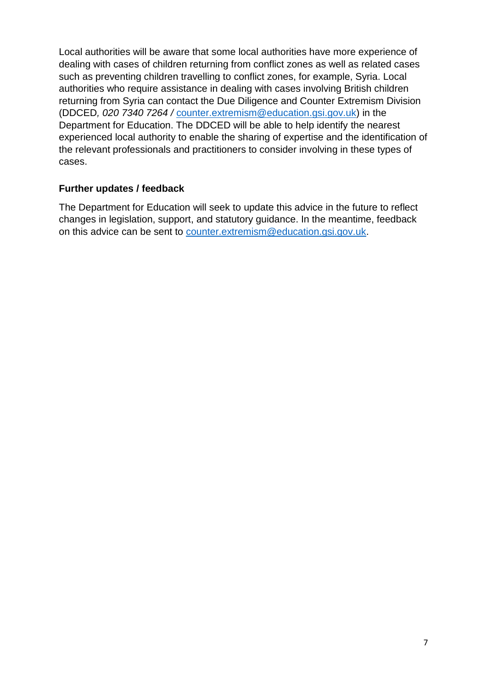Local authorities will be aware that some local authorities have more experience of dealing with cases of children returning from conflict zones as well as related cases such as preventing children travelling to conflict zones, for example, Syria. Local authorities who require assistance in dealing with cases involving British children returning from Syria can contact the Due Diligence and Counter Extremism Division (DDCED*, 020 7340 7264 /* [counter.extremism@education.gsi.gov.uk\)](mailto:counter.extremism@education.gsi.gov.uk) in the Department for Education. The DDCED will be able to help identify the nearest experienced local authority to enable the sharing of expertise and the identification of the relevant professionals and practitioners to consider involving in these types of cases.

#### **Further updates / feedback**

The Department for Education will seek to update this advice in the future to reflect changes in legislation, support, and statutory guidance. In the meantime, feedback on this advice can be sent to [counter.extremism@education.gsi.gov.uk.](mailto:counter.extremism@education.gsi.gov.uk)